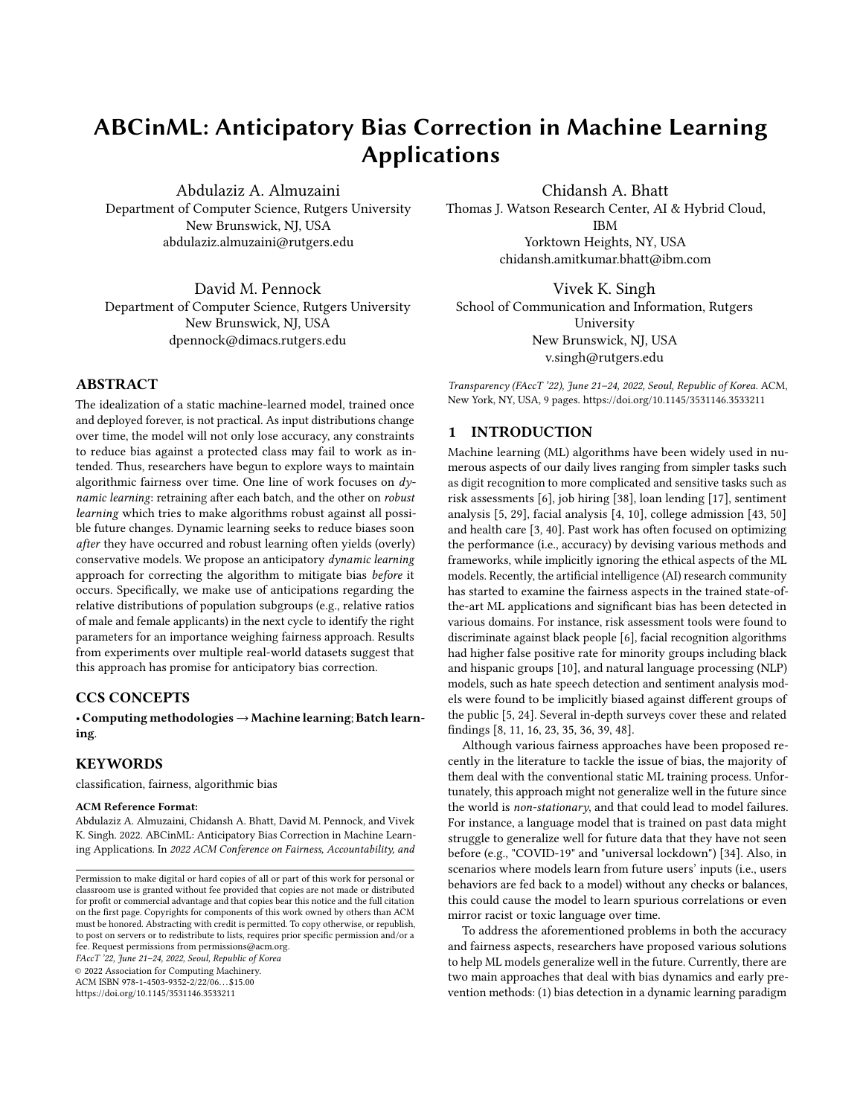# ABCinML: Anticipatory Bias Correction in Machine Learning Applications

Abdulaziz A. Almuzaini Department of Computer Science, Rutgers University New Brunswick, NJ, USA abdulaziz.almuzaini@rutgers.edu

David M. Pennock Department of Computer Science, Rutgers University New Brunswick, NJ, USA dpennock@dimacs.rutgers.edu

# ABSTRACT

The idealization of a static machine-learned model, trained once and deployed forever, is not practical. As input distributions change over time, the model will not only lose accuracy, any constraints to reduce bias against a protected class may fail to work as intended. Thus, researchers have begun to explore ways to maintain algorithmic fairness over time. One line of work focuses on dynamic learning: retraining after each batch, and the other on robust learning which tries to make algorithms robust against all possible future changes. Dynamic learning seeks to reduce biases soon after they have occurred and robust learning often yields (overly) conservative models. We propose an anticipatory dynamic learning approach for correcting the algorithm to mitigate bias before it occurs. Specifically, we make use of anticipations regarding the relative distributions of population subgroups (e.g., relative ratios of male and female applicants) in the next cycle to identify the right parameters for an importance weighing fairness approach. Results from experiments over multiple real-world datasets suggest that this approach has promise for anticipatory bias correction.

# CCS CONCEPTS

• Computing methodologies→Machine learning; Batch learning.

# KEYWORDS

classification, fairness, algorithmic bias

#### ACM Reference Format:

Abdulaziz A. Almuzaini, Chidansh A. Bhatt, David M. Pennock, and Vivek K. Singh. 2022. ABCinML: Anticipatory Bias Correction in Machine Learning Applications. In 2022 ACM Conference on Fairness, Accountability, and

FAccT '22, June 21–24, 2022, Seoul, Republic of Korea

© 2022 Association for Computing Machinery.

ACM ISBN 978-1-4503-9352-2/22/06. . . \$15.00

<https://doi.org/10.1145/3531146.3533211>

Chidansh A. Bhatt Thomas J. Watson Research Center, AI & Hybrid Cloud, IBM Yorktown Heights, NY, USA chidansh.amitkumar.bhatt@ibm.com

Vivek K. Singh School of Communication and Information, Rutgers University New Brunswick, NJ, USA v.singh@rutgers.edu

Transparency (FAccT '22), June 21–24, 2022, Seoul, Republic of Korea. ACM, New York, NY, USA, [9](#page-8-0) pages.<https://doi.org/10.1145/3531146.3533211>

# 1 INTRODUCTION

Machine learning (ML) algorithms have been widely used in numerous aspects of our daily lives ranging from simpler tasks such as digit recognition to more complicated and sensitive tasks such as risk assessments [\[6\]](#page-7-0), job hiring [\[38\]](#page-8-1), loan lending [\[17\]](#page-8-2), sentiment analysis [\[5,](#page-7-1) [29\]](#page-8-3), facial analysis [\[4,](#page-7-2) [10\]](#page-8-4), college admission [\[43,](#page-8-5) [50\]](#page-8-6) and health care [\[3,](#page-7-3) [40\]](#page-8-7). Past work has often focused on optimizing the performance (i.e., accuracy) by devising various methods and frameworks, while implicitly ignoring the ethical aspects of the ML models. Recently, the artificial intelligence (AI) research community has started to examine the fairness aspects in the trained state-ofthe-art ML applications and significant bias has been detected in various domains. For instance, risk assessment tools were found to discriminate against black people [\[6\]](#page-7-0), facial recognition algorithms had higher false positive rate for minority groups including black and hispanic groups [\[10\]](#page-8-4), and natural language processing (NLP) models, such as hate speech detection and sentiment analysis models were found to be implicitly biased against different groups of the public [\[5,](#page-7-1) [24\]](#page-8-8). Several in-depth surveys cover these and related findings [\[8,](#page-7-4) [11,](#page-8-9) [16,](#page-8-10) [23,](#page-8-11) [35,](#page-8-12) [36,](#page-8-13) [39,](#page-8-14) [48\]](#page-8-15).

Although various fairness approaches have been proposed recently in the literature to tackle the issue of bias, the majority of them deal with the conventional static ML training process. Unfortunately, this approach might not generalize well in the future since the world is non-stationary, and that could lead to model failures. For instance, a language model that is trained on past data might struggle to generalize well for future data that they have not seen before (e.g., "COVID-19" and "universal lockdown") [\[34\]](#page-8-16). Also, in scenarios where models learn from future users' inputs (i.e., users behaviors are fed back to a model) without any checks or balances, this could cause the model to learn spurious correlations or even mirror racist or toxic language over time.

To address the aforementioned problems in both the accuracy and fairness aspects, researchers have proposed various solutions to help ML models generalize well in the future. Currently, there are two main approaches that deal with bias dynamics and early prevention methods: (1) bias detection in a dynamic learning paradigm

Permission to make digital or hard copies of all or part of this work for personal or classroom use is granted without fee provided that copies are not made or distributed for profit or commercial advantage and that copies bear this notice and the full citation on the first page. Copyrights for components of this work owned by others than ACM must be honored. Abstracting with credit is permitted. To copy otherwise, or republish, to post on servers or to redistribute to lists, requires prior specific permission and/or a fee. Request permissions from permissions@acm.org.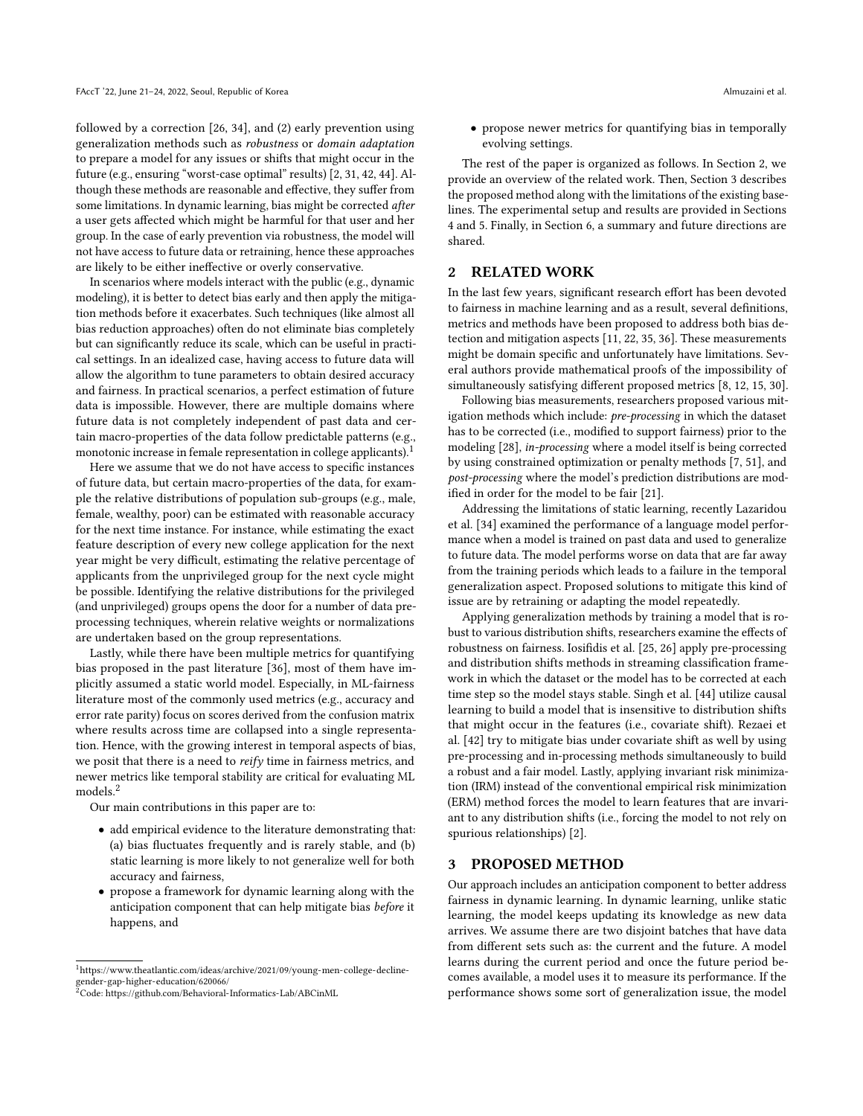followed by a correction [\[26,](#page-8-17) [34\]](#page-8-16), and (2) early prevention using generalization methods such as robustness or domain adaptation to prepare a model for any issues or shifts that might occur in the future (e.g., ensuring "worst-case optimal" results) [\[2,](#page-7-5) [31,](#page-8-18) [42,](#page-8-19) [44\]](#page-8-20). Although these methods are reasonable and effective, they suffer from some limitations. In dynamic learning, bias might be corrected after a user gets affected which might be harmful for that user and her group. In the case of early prevention via robustness, the model will not have access to future data or retraining, hence these approaches are likely to be either ineffective or overly conservative.

In scenarios where models interact with the public (e.g., dynamic modeling), it is better to detect bias early and then apply the mitigation methods before it exacerbates. Such techniques (like almost all bias reduction approaches) often do not eliminate bias completely but can significantly reduce its scale, which can be useful in practical settings. In an idealized case, having access to future data will allow the algorithm to tune parameters to obtain desired accuracy and fairness. In practical scenarios, a perfect estimation of future data is impossible. However, there are multiple domains where future data is not completely independent of past data and certain macro-properties of the data follow predictable patterns (e.g., monotonic increase in female representation in college applicants).<sup>[1](#page-1-0)</sup>

Here we assume that we do not have access to specific instances of future data, but certain macro-properties of the data, for example the relative distributions of population sub-groups (e.g., male, female, wealthy, poor) can be estimated with reasonable accuracy for the next time instance. For instance, while estimating the exact feature description of every new college application for the next year might be very difficult, estimating the relative percentage of applicants from the unprivileged group for the next cycle might be possible. Identifying the relative distributions for the privileged (and unprivileged) groups opens the door for a number of data preprocessing techniques, wherein relative weights or normalizations are undertaken based on the group representations.

Lastly, while there have been multiple metrics for quantifying bias proposed in the past literature [\[36\]](#page-8-13), most of them have implicitly assumed a static world model. Especially, in ML-fairness literature most of the commonly used metrics (e.g., accuracy and error rate parity) focus on scores derived from the confusion matrix where results across time are collapsed into a single representation. Hence, with the growing interest in temporal aspects of bias, we posit that there is a need to reify time in fairness metrics, and newer metrics like temporal stability are critical for evaluating ML models.[2](#page-1-1)

Our main contributions in this paper are to:

- add empirical evidence to the literature demonstrating that: (a) bias fluctuates frequently and is rarely stable, and (b) static learning is more likely to not generalize well for both accuracy and fairness,
- propose a framework for dynamic learning along with the anticipation component that can help mitigate bias before it happens, and

• propose newer metrics for quantifying bias in temporally evolving settings.

The rest of the paper is organized as follows. In Section 2, we provide an overview of the related work. Then, Section 3 describes the proposed method along with the limitations of the existing baselines. The experimental setup and results are provided in Sections 4 and 5. Finally, in Section 6, a summary and future directions are shared.

# 2 RELATED WORK

In the last few years, significant research effort has been devoted to fairness in machine learning and as a result, several definitions, metrics and methods have been proposed to address both bias detection and mitigation aspects [\[11,](#page-8-9) [22,](#page-8-21) [35,](#page-8-12) [36\]](#page-8-13). These measurements might be domain specific and unfortunately have limitations. Several authors provide mathematical proofs of the impossibility of simultaneously satisfying different proposed metrics [\[8,](#page-7-4) [12,](#page-8-22) [15,](#page-8-23) [30\]](#page-8-24).

Following bias measurements, researchers proposed various mitigation methods which include: pre-processing in which the dataset has to be corrected (i.e., modified to support fairness) prior to the modeling [\[28\]](#page-8-25), in-processing where a model itself is being corrected by using constrained optimization or penalty methods [\[7,](#page-7-6) [51\]](#page-8-26), and post-processing where the model's prediction distributions are modified in order for the model to be fair [\[21\]](#page-8-27).

Addressing the limitations of static learning, recently Lazaridou et al. [\[34\]](#page-8-16) examined the performance of a language model performance when a model is trained on past data and used to generalize to future data. The model performs worse on data that are far away from the training periods which leads to a failure in the temporal generalization aspect. Proposed solutions to mitigate this kind of issue are by retraining or adapting the model repeatedly.

Applying generalization methods by training a model that is robust to various distribution shifts, researchers examine the effects of robustness on fairness. Iosifidis et al. [\[25,](#page-8-28) [26\]](#page-8-17) apply pre-processing and distribution shifts methods in streaming classification framework in which the dataset or the model has to be corrected at each time step so the model stays stable. Singh et al. [\[44\]](#page-8-20) utilize causal learning to build a model that is insensitive to distribution shifts that might occur in the features (i.e., covariate shift). Rezaei et al. [\[42\]](#page-8-19) try to mitigate bias under covariate shift as well by using pre-processing and in-processing methods simultaneously to build a robust and a fair model. Lastly, applying invariant risk minimization (IRM) instead of the conventional empirical risk minimization (ERM) method forces the model to learn features that are invariant to any distribution shifts (i.e., forcing the model to not rely on spurious relationships) [\[2\]](#page-7-5).

## 3 PROPOSED METHOD

Our approach includes an anticipation component to better address fairness in dynamic learning. In dynamic learning, unlike static learning, the model keeps updating its knowledge as new data arrives. We assume there are two disjoint batches that have data from different sets such as: the current and the future. A model learns during the current period and once the future period becomes available, a model uses it to measure its performance. If the performance shows some sort of generalization issue, the model

<span id="page-1-0"></span> $^1$ [https://www.theatlantic.com/ideas/archive/2021/09/young-men-college-decline](https://www.theatlantic.com/ideas/archive/2021/09/young-men-college-decline-gender-gap-higher-education/620066/)[gender-gap-higher-education/620066/](https://www.theatlantic.com/ideas/archive/2021/09/young-men-college-decline-gender-gap-higher-education/620066/)

<span id="page-1-1"></span><sup>&</sup>lt;sup>2</sup>Code:<https://github.com/Behavioral-Informatics-Lab/ABCinML>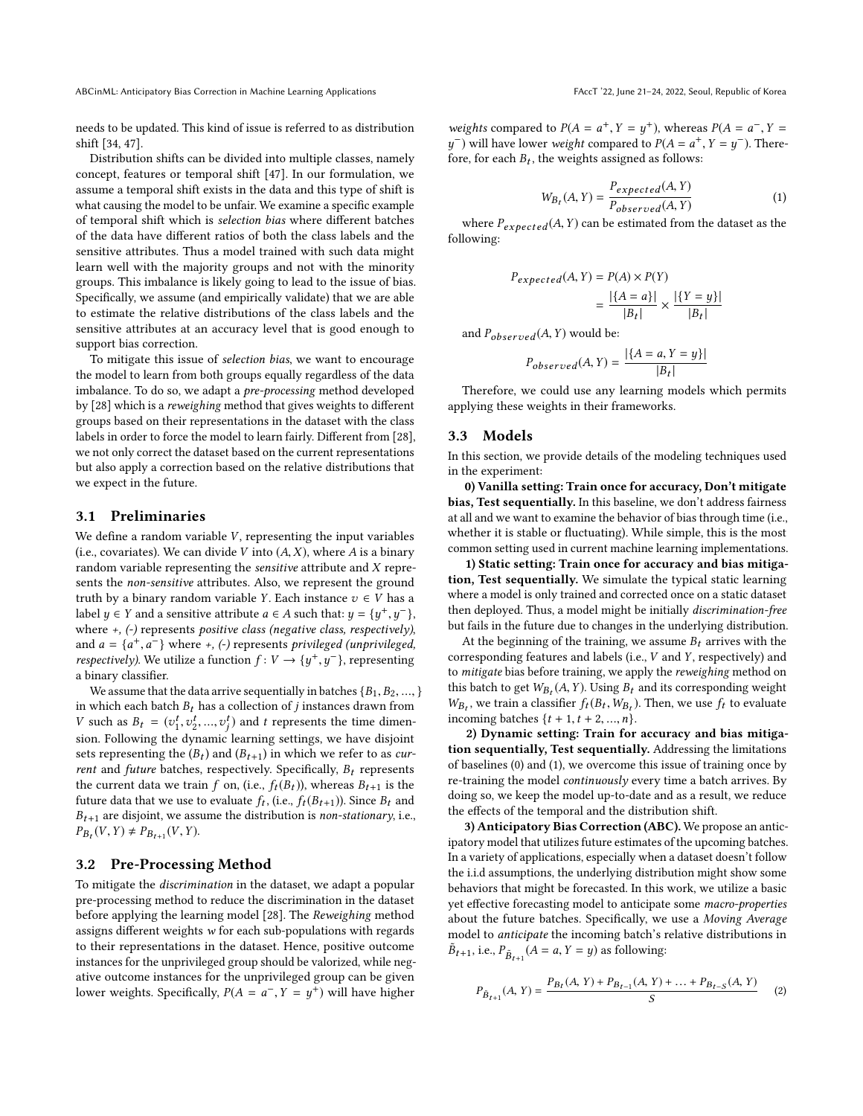ABCinML: Anticipatory Bias Correction in Machine Learning Applications FACCT '22, June 21-24, 2022, Seoul, Republic of Korea

needs to be updated. This kind of issue is referred to as distribution shift [\[34,](#page-8-16) [47\]](#page-8-29).

Distribution shifts can be divided into multiple classes, namely concept, features or temporal shift [\[47\]](#page-8-29). In our formulation, we assume a temporal shift exists in the data and this type of shift is what causing the model to be unfair. We examine a specific example of temporal shift which is selection bias where different batches of the data have different ratios of both the class labels and the sensitive attributes. Thus a model trained with such data might learn well with the majority groups and not with the minority groups. This imbalance is likely going to lead to the issue of bias. Specifically, we assume (and empirically validate) that we are able to estimate the relative distributions of the class labels and the sensitive attributes at an accuracy level that is good enough to support bias correction.

To mitigate this issue of selection bias, we want to encourage the model to learn from both groups equally regardless of the data imbalance. To do so, we adapt a pre-processing method developed by [\[28\]](#page-8-25) which is a reweighing method that gives weights to different groups based on their representations in the dataset with the class labels in order to force the model to learn fairly. Different from [\[28\]](#page-8-25), we not only correct the dataset based on the current representations but also apply a correction based on the relative distributions that we expect in the future.

## 3.1 Preliminaries

We define a random variable  $V$ , representing the input variables (i.e., covariates). We can divide  $V$  into  $(A, X)$ , where  $A$  is a binary random variable representing the sensitive attribute and X represents the non-sensitive attributes. Also, we represent the ground truth by a binary random variable Y. Each instance  $v \in V$  has a label  $y \in Y$  and a sensitive attribute  $a \in A$  such that:  $y = \{y^+, y^-\}$ , where +, (-) represents positive class (negative class, respectively), and  $a = \{a^+, a^-\}$  where +, (-) represents privileged (unprivileged,<br>respectively) We utilize a function  $f: V \to \{u^+, u^-\}$  representing respectively). We utilize a function  $f: V \rightarrow \{y^+\}$  $,y^-$ }, representing a binary classifier.

We assume that the data arrive sequentially in batches  ${B_1, B_2, ...,}$ in which each batch  $B_t$  has a collection of j instances drawn from V such as  $B_t = (v_1^t, v_2^t, ..., v_j^t)$  and t represents the time dimen-<br>sign. Following the dynamic learning estings we have disjoint  $\sum_{i=1}^{n}$  is  $\sum_{i=1}^{n}$  ( $\sum_{i=1}^{n}$ ,  $\sum_{i=1}^{n}$ ), and  $\sum_{i=1}^{n}$  is presented and anti-valued settings. sets representing the  $(B_t)$  and  $(B_{t+1})$  in which we refer to as cur-<br>rent and future batches, respectively. Specifically, B. represents rent and future batches, respectively. Specifically,  $B_t$  represents the current data we train f on, (i.e.,  $f_t(B_t)$ ), whereas  $B_{t+1}$  is the future data that we use to evaluate  $f_t$ , (i.e.,  $f_t(B_{t+1})$ ). Since  $B_t$  and  $B_{t+1}$  are disjoint, we assume the distribution is non-stationary i.e.  $B_{t+1}$  are disjoint, we assume the distribution is non-stationary, i.e.,  $P_{B_t}(V, Y) \neq P_{B_{t+1}}(V, Y).$ 

## 3.2 Pre-Processing Method

To mitigate the discrimination in the dataset, we adapt a popular pre-processing method to reduce the discrimination in the dataset before applying the learning model [\[28\]](#page-8-25). The Reweighing method assigns different weights w for each sub-populations with regards to their representations in the dataset. Hence, positive outcome instances for the unprivileged group should be valorized, while negative outcome instances for the unprivileged group can be given lower weights. Specifically,  $P(A = a^{-}, Y = y^{+})$  will have higher weights compared to  $P(A = a^+, Y = y^+)$ , whereas  $P(A = a^-, Y = y^-)$  will have lower weight compared to  $P(A = a^+, Y = y^-)$ . There fore, for each  $B_t$ , the weights assigned as follows: −) will have lower *weight* compared to  $P(A = a^+, Y = y^-)$ . There-

$$
W_{B_t}(A, Y) = \frac{P_{expected}(A, Y)}{P_{observed}(A, Y)}
$$
\n(1)

where  $P_{expected}(A, Y)$  can be estimated from the dataset as the lowing: following:

$$
P_{expected}(A, Y) = P(A) \times P(Y)
$$

$$
= \frac{|\{A = a\}|}{|B_t|} \times \frac{|\{Y = y\}|}{|B_t|}
$$

and  $P_{observed}(A, Y)$  would be:

$$
P_{observed}(A, Y) = \frac{|\{A = a, Y = y\}|}{|B_t|}
$$

 $\begin{aligned} \text{F}^{1} & \text{observed} \times \text{F}^{1} = |B_t| \\ \text{Therefore, we could use any learning models which permits.} \end{aligned}$ applying these weights in their frameworks.

# 3.3 Models

In this section, we provide details of the modeling techniques used in the experiment:

0) Vanilla setting: Train once for accuracy, Don't mitigate bias, Test sequentially. In this baseline, we don't address fairness at all and we want to examine the behavior of bias through time (i.e., whether it is stable or fluctuating). While simple, this is the most common setting used in current machine learning implementations.

1) Static setting: Train once for accuracy and bias mitigation, Test sequentially. We simulate the typical static learning where a model is only trained and corrected once on a static dataset then deployed. Thus, a model might be initially discrimination-free but fails in the future due to changes in the underlying distribution.

At the beginning of the training, we assume  $B_t$  arrives with the corresponding features and labels (i.e., V and Y, respectively) and to mitigate bias before training, we apply the reweighing method on this batch to get  $W_{B_t}(A, Y)$ . Using  $B_t$  and its corresponding weight  $W_{B_t}$ , we train a classifier  $f(B_t, W_B)$ . Then we use f, to evaluate  $W_{B_t}$ , we train a classifier  $f_t(D_t, W_{B_t})$ <br>incoming batches  $\{t + 1, t + 2, ..., n\}$ .<br>2) Dynamic setting: Train for , we train a classifier  $f_t(B_t, W_{B_t})$ . Then, we use  $f_t$  to evaluate

2) Dynamic setting: Train for accuracy and bias mitigation sequentially, Test sequentially. Addressing the limitations of baselines (0) and (1), we overcome this issue of training once by re-training the model continuously every time a batch arrives. By doing so, we keep the model up-to-date and as a result, we reduce the effects of the temporal and the distribution shift.

3) Anticipatory Bias Correction (ABC). We propose an anticipatory model that utilizes future estimates of the upcoming batches. In a variety of applications, especially when a dataset doesn't follow the i.i.d assumptions, the underlying distribution might show some behaviors that might be forecasted. In this work, we utilize a basic yet effective forecasting model to anticipate some macro-properties about the future batches. Specifically, we use a Moving Average model to anticipate the incoming batch's relative distributions in  $\tilde{B}_{t+1}$ , i.e.,  $P_{\tilde{B}_{t+1}}(A = a, Y = y)$  as following:

$$
P_{\tilde{B}_{t+1}}(A, Y) = \frac{P_{B_t}(A, Y) + P_{B_{t-1}}(A, Y) + \dots + P_{B_{t-S}}(A, Y)}{S}
$$
 (2)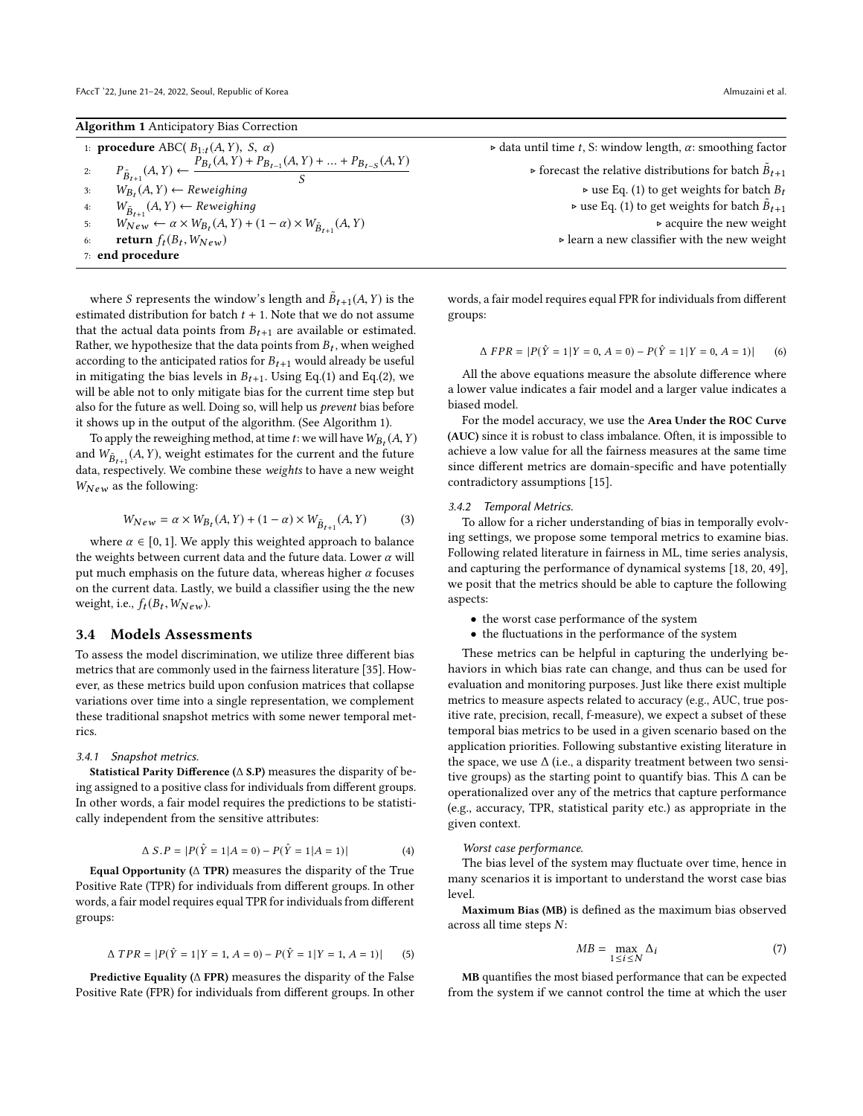Algorithm 1 Anticipatory Bias Correction

|    | 1: <b>procedure</b> ABC( $B_{1:t}(A, Y)$ , S, $\alpha$ )                                                                       |
|----|--------------------------------------------------------------------------------------------------------------------------------|
| 2: | $P_{\tilde{B}_{t+1}}(A, Y) \leftarrow \frac{P_{B_t}(A, Y) + P_{B_{t-1}}(A, Y) + \dots + P_{B_{t-S}}(A, Y)}{P_{B_{t-1}}(A, Y)}$ |
| 3: | $W_{B_t}(A, Y) \leftarrow$ Reweighing                                                                                          |
| 4: | $W_{\tilde{B}_{t+1}}(A, Y) \leftarrow$ Reweighing                                                                              |
| 5: | $W_{New} \leftarrow \alpha \times W_{B_t}(A, Y) + (1 - \alpha) \times W_{\tilde{B}_{t+1}}(A, Y)$                               |
| 6: | return $f_t(B_t, W_{New})$                                                                                                     |
|    | $7:$ end procedure                                                                                                             |

where S represents the window's length and  $\tilde{B}_{t+1}(A, Y)$  is the imated distribution for batch  $t+1$ . Note that we do not assume estimated distribution for batch  $t + 1$ . Note that we do not assume that the actual data points from  $B_{t+1}$  are available or estimated. Rather, we hypothesize that the data points from  $B_t$ , when weighed<br>according to the anticipated ratios for  $B_{t+1}$  would already be useful according to the anticipated ratios for  $B_{t+1}$  would already be useful in mitigating the bias levels in  $B_{t+1}$ . Using Eq.(1) and Eq.(2), we will be able not to only mitigate bias for the current time step but also for the future as well. Doing so, will help us prevent bias before it shows up in the output of the algorithm. (See Algorithm 1).

To apply the reweighing method, at time t: we will have  $W_{B_t}(A, Y)$ <br>d  $W_{\infty}$  (4 Y) weight estimates for the current and the future and  $W_{\tilde{B}_{t+1}}(A, Y)$ , weight estimates for the current and the future<br>data respectively. We combine these weights to have a new weight data, respectively. We combine these weights to have a new weight  $W_{New}$  as the following:

$$
W_{New} = \alpha \times W_{B_t}(A, Y) + (1 - \alpha) \times W_{\tilde{B}_{t+1}}(A, Y)
$$
 (3)

where  $\alpha \in [0, 1]$ . We apply this weighted approach to balance<br>weights between current data and the future data. Lower  $\alpha$  will the weights between current data and the future data. Lower  $\alpha$  will put much emphasis on the future data, whereas higher  $\alpha$  focuses on the current data. Lastly, we build a classifier using the the new weight, i.e.,  $f_t(B_t, W_{New})$ .

## 3.4 Models Assessments

To assess the model discrimination, we utilize three different bias metrics that are commonly used in the fairness literature [\[35\]](#page-8-12). However, as these metrics build upon confusion matrices that collapse variations over time into a single representation, we complement these traditional snapshot metrics with some newer temporal metrics.

#### 3.4.1 Snapshot metrics.

Statistical Parity Difference ( $\Delta$  S.P) measures the disparity of being assigned to a positive class for individuals from different groups. In other words, a fair model requires the predictions to be statistically independent from the sensitive attributes:

$$
\Delta S.P = |P(\hat{Y} = 1 | A = 0) - P(\hat{Y} = 1 | A = 1)| \tag{4}
$$

Equal Opportunity ( $\triangle$  TPR) measures the disparity of the True Positive Rate (TPR) for individuals from different groups. In other words, a fair model requires equal TPR for individuals from different groups:

$$
\Delta \, TPR = |P(\hat{Y} = 1 | Y = 1, A = 0) - P(\hat{Y} = 1 | Y = 1, A = 1)| \tag{5}
$$

Predictive Equality (∆ FPR) measures the disparity of the False Positive Rate (FPR) for individuals from different groups. In other

 $\triangleright$  data until time t, S: window length,  $\alpha$ : smoothing factor  $\triangleright$  forecast the relative distributions for batch  $\tilde{B}_{t+1}$  $\triangleright$  use Eq. (1) to get weights for batch  $B_t$  $(A, Y) \leftarrow$  Reweighing<br>  $(A, Y) \leftarrow$  Reweights for batch  $\tilde{B}_{t+1}$ <br>  $(B, Y) \leftarrow (A, Y)$  $\triangleright$  acquire the new weight  $\triangleright$  learn a new classifier with the new weight

> words, a fair model requires equal FPR for individuals from different groups:

$$
\Delta FPR = |P(\hat{Y} = 1|Y = 0, A = 0) - P(\hat{Y} = 1|Y = 0, A = 1)|
$$
 (6)

All the above equations measure the absolute difference where a lower value indicates a fair model and a larger value indicates a biased model.

For the model accuracy, we use the Area Under the ROC Curve (AUC) since it is robust to class imbalance. Often, it is impossible to achieve a low value for all the fairness measures at the same time since different metrics are domain-specific and have potentially contradictory assumptions [\[15\]](#page-8-23).

#### 3.4.2 Temporal Metrics.

To allow for a richer understanding of bias in temporally evolving settings, we propose some temporal metrics to examine bias. Following related literature in fairness in ML, time series analysis, and capturing the performance of dynamical systems [\[18,](#page-8-30) [20,](#page-8-31) [49\]](#page-8-32), we posit that the metrics should be able to capture the following aspects:

- the worst case performance of the system
- the fluctuations in the performance of the system

These metrics can be helpful in capturing the underlying behaviors in which bias rate can change, and thus can be used for evaluation and monitoring purposes. Just like there exist multiple metrics to measure aspects related to accuracy (e.g., AUC, true positive rate, precision, recall, f-measure), we expect a subset of these temporal bias metrics to be used in a given scenario based on the application priorities. Following substantive existing literature in the space, we use  $\Delta$  (i.e., a disparity treatment between two sensitive groups) as the starting point to quantify bias. This  $\Delta$  can be operationalized over any of the metrics that capture performance (e.g., accuracy, TPR, statistical parity etc.) as appropriate in the given context.

#### Worst case performance.

The bias level of the system may fluctuate over time, hence in many scenarios it is important to understand the worst case bias level.

Maximum Bias (MB) is defined as the maximum bias observed across all time steps N:

$$
MB = \max_{1 \le i \le N} \Delta_i \tag{7}
$$

MB quantifies the most biased performance that can be expected from the system if we cannot control the time at which the user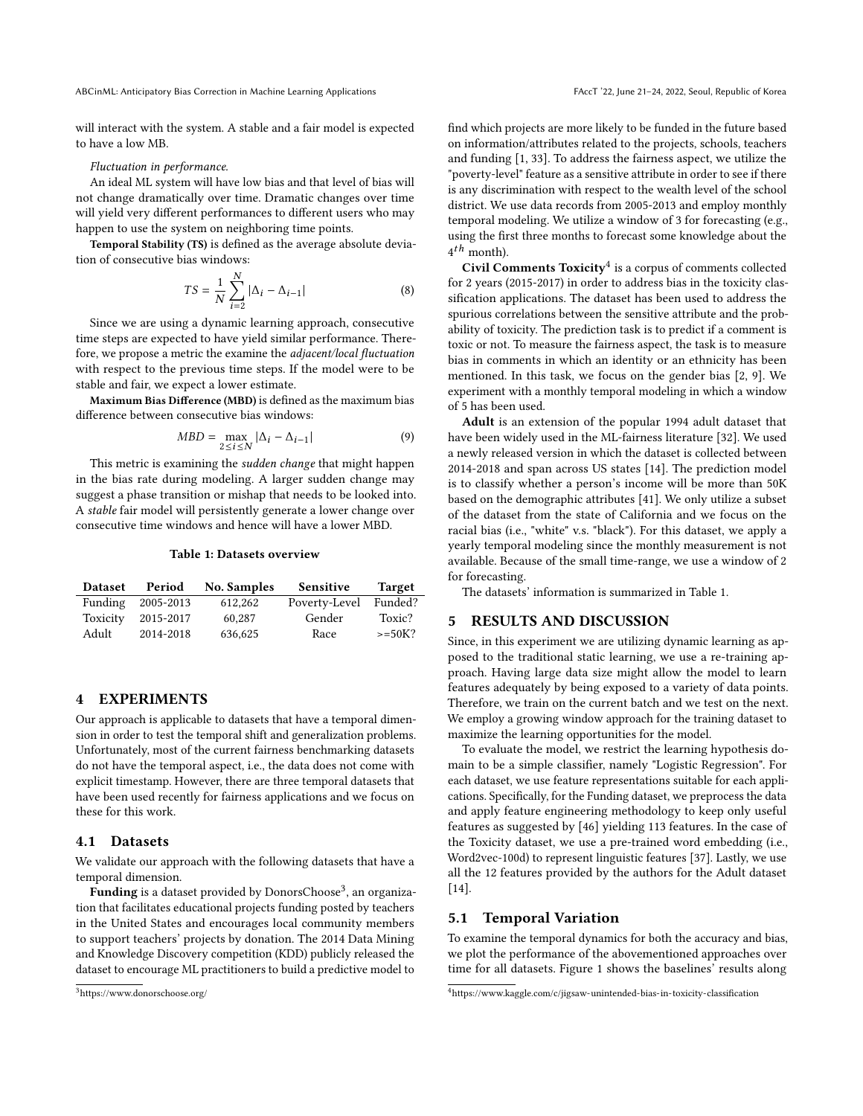ABCinML: Anticipatory Bias Correction in Machine Learning Applications FACCT '22, June 21-24, 2022, Seoul, Republic of Korea

will interact with the system. A stable and a fair model is expected to have a low MB.

#### Fluctuation in performance.

An ideal ML system will have low bias and that level of bias will not change dramatically over time. Dramatic changes over time will yield very different performances to different users who may happen to use the system on neighboring time points.

Temporal Stability (TS) is defined as the average absolute deviation of consecutive bias windows:

$$
TS = \frac{1}{N} \sum_{i=2}^{N} |\Delta_i - \Delta_{i-1}|
$$
 (8)  
Since we are using a dynamic learning approach, consecutive

time steps are expected to have yield similar performance. Therefore, we propose a metric the examine the adjacent/local fluctuation with respect to the previous time steps. If the model were to be stable and fair, we expect a lower estimate.

Maximum Bias Difference (MBD) is defined as the maximum bias difference between consecutive bias windows:

$$
MBD = \max_{2 \le i \le N} |\Delta_i - \Delta_{i-1}| \tag{9}
$$

This metric is examining the *sudden change* that might happen in the bias rate during modeling. A larger sudden change may suggest a phase transition or mishap that needs to be looked into. A stable fair model will persistently generate a lower change over consecutive time windows and hence will have a lower MBD.

#### Table 1: Datasets overview

| <b>Dataset</b> | Period    | <b>No. Samples</b> | Sensitive     | <b>Target</b> |
|----------------|-----------|--------------------|---------------|---------------|
| Funding        | 2005-2013 | 612,262            | Poverty-Level | Funded?       |
| Toxicity       | 2015-2017 | 60.287             | Gender        | Toxic?        |
| Adult          | 2014-2018 | 636,625            | Race          | $>=50K?$      |

# 4 EXPERIMENTS

Our approach is applicable to datasets that have a temporal dimension in order to test the temporal shift and generalization problems. Unfortunately, most of the current fairness benchmarking datasets do not have the temporal aspect, i.e., the data does not come with explicit timestamp. However, there are three temporal datasets that have been used recently for fairness applications and we focus on these for this work.

# 4.1 Datasets

We validate our approach with the following datasets that have a temporal dimension.

 $\hat{\mathbf{F}}$ unding is a dataset provided by DonorsChoose $^3$  $^3$ , an organization that facilitates educational projects funding posted by teachers in the United States and encourages local community members to support teachers' projects by donation. The 2014 Data Mining and Knowledge Discovery competition (KDD) publicly released the dataset to encourage ML practitioners to build a predictive model to

find which projects are more likely to be funded in the future based on information/attributes related to the projects, schools, teachers and funding [\[1,](#page-7-7) [33\]](#page-8-33). To address the fairness aspect, we utilize the "poverty-level" feature as a sensitive attribute in order to see if there is any discrimination with respect to the wealth level of the school district. We use data records from 2005-2013 and employ monthly temporal modeling. We utilize a window of 3 for forecasting (e.g., using the first three months to forecast some knowledge about the  $4<sup>th</sup>$  month).

Civil Comments Toxicity<sup>[4](#page-4-1)</sup> is a corpus of comments collected for 2 years (2015-2017) in order to address bias in the toxicity classification applications. The dataset has been used to address the spurious correlations between the sensitive attribute and the probability of toxicity. The prediction task is to predict if a comment is toxic or not. To measure the fairness aspect, the task is to measure bias in comments in which an identity or an ethnicity has been mentioned. In this task, we focus on the gender bias [\[2,](#page-7-5) [9\]](#page-8-34). We experiment with a monthly temporal modeling in which a window of 5 has been used.

Adult is an extension of the popular 1994 adult dataset that have been widely used in the ML-fairness literature [\[32\]](#page-8-35). We used a newly released version in which the dataset is collected between 2014-2018 and span across US states [\[14\]](#page-8-36). The prediction model is to classify whether a person's income will be more than 50K based on the demographic attributes [\[41\]](#page-8-37). We only utilize a subset of the dataset from the state of California and we focus on the racial bias (i.e., "white" v.s. "black"). For this dataset, we apply a yearly temporal modeling since the monthly measurement is not available. Because of the small time-range, we use a window of 2 for forecasting.

The datasets' information is summarized in Table 1.

# 5 RESULTS AND DISCUSSION

Since, in this experiment we are utilizing dynamic learning as apposed to the traditional static learning, we use a re-training approach. Having large data size might allow the model to learn features adequately by being exposed to a variety of data points. Therefore, we train on the current batch and we test on the next. We employ a growing window approach for the training dataset to maximize the learning opportunities for the model.

To evaluate the model, we restrict the learning hypothesis domain to be a simple classifier, namely "Logistic Regression". For each dataset, we use feature representations suitable for each applications. Specifically, for the Funding dataset, we preprocess the data and apply feature engineering methodology to keep only useful features as suggested by [\[46\]](#page-8-38) yielding 113 features. In the case of the Toxicity dataset, we use a pre-trained word embedding (i.e., Word2vec-100d) to represent linguistic features [\[37\]](#page-8-39). Lastly, we use all the 12 features provided by the authors for the Adult dataset [\[14\]](#page-8-36).

# 5.1 Temporal Variation

To examine the temporal dynamics for both the accuracy and bias, we plot the performance of the abovementioned approaches over time for all datasets. Figure 1 shows the baselines' results along

<span id="page-4-0"></span><sup>3</sup><https://www.donorschoose.org/>

<span id="page-4-1"></span><sup>4</sup><https://www.kaggle.com/c/jigsaw-unintended-bias-in-toxicity-classification>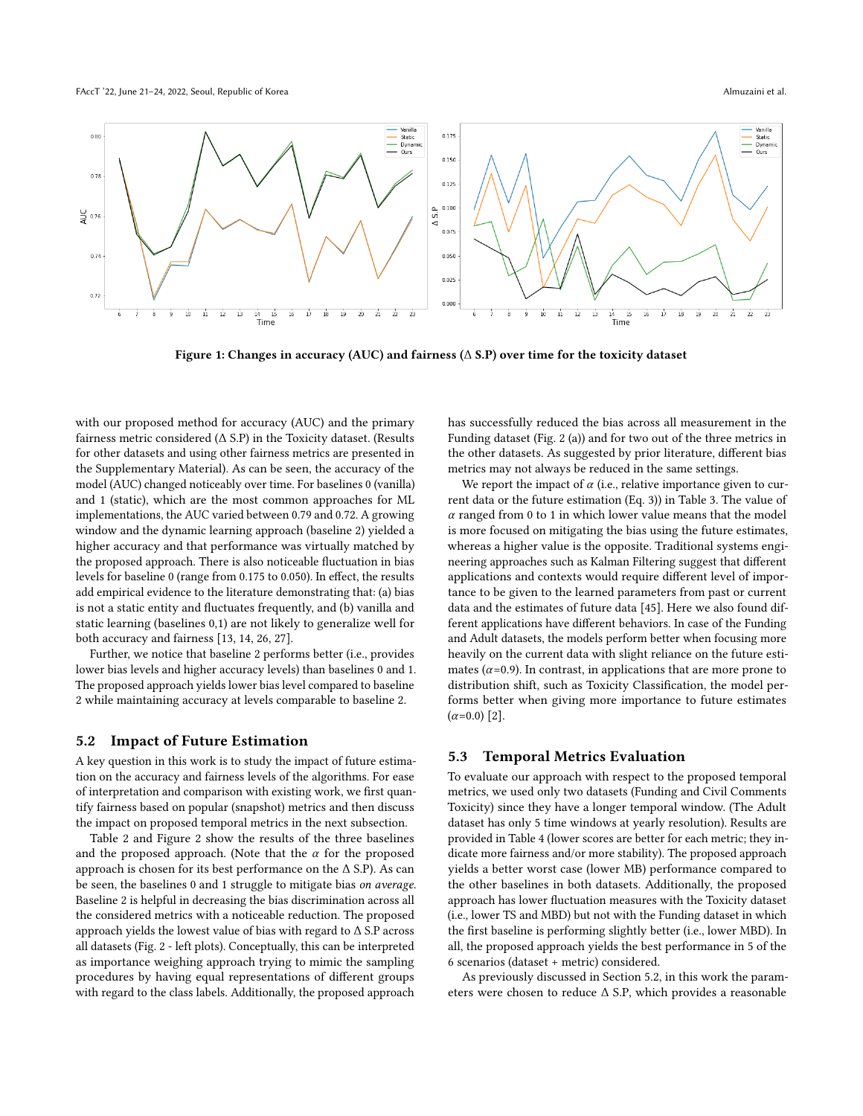FAccT '22, June 21–24, 2022, Seoul, Republic of Korea Almuzaini et al. Almuzaini et al. Almuzaini et al. Almuzaini et al.



Figure 1: Changes in accuracy (AUC) and fairness (∆ S.P) over time for the toxicity dataset

with our proposed method for accuracy (AUC) and the primary fairness metric considered  $(∆ S.P)$  in the Toxicity dataset. (Results for other datasets and using other fairness metrics are presented in the Supplementary Material). As can be seen, the accuracy of the model (AUC) changed noticeably over time. For baselines 0 (vanilla) and 1 (static), which are the most common approaches for ML implementations, the AUC varied between 0.79 and 0.72. A growing window and the dynamic learning approach (baseline 2) yielded a higher accuracy and that performance was virtually matched by the proposed approach. There is also noticeable fluctuation in bias levels for baseline 0 (range from 0.175 to 0.050). In effect, the results add empirical evidence to the literature demonstrating that: (a) bias is not a static entity and fluctuates frequently, and (b) vanilla and static learning (baselines 0,1) are not likely to generalize well for both accuracy and fairness [\[13,](#page-8-40) [14,](#page-8-36) [26,](#page-8-17) [27\]](#page-8-41).

Further, we notice that baseline 2 performs better (i.e., provides lower bias levels and higher accuracy levels) than baselines 0 and 1. The proposed approach yields lower bias level compared to baseline 2 while maintaining accuracy at levels comparable to baseline 2.

### 5.2 Impact of Future Estimation

A key question in this work is to study the impact of future estimation on the accuracy and fairness levels of the algorithms. For ease of interpretation and comparison with existing work, we first quantify fairness based on popular (snapshot) metrics and then discuss the impact on proposed temporal metrics in the next subsection.

Table 2 and Figure 2 show the results of the three baselines and the proposed approach. (Note that the  $\alpha$  for the proposed approach is chosen for its best performance on the ∆ S.P). As can be seen, the baselines 0 and 1 struggle to mitigate bias on average. Baseline 2 is helpful in decreasing the bias discrimination across all the considered metrics with a noticeable reduction. The proposed approach yields the lowest value of bias with regard to ∆ S.P across all datasets (Fig. 2 - left plots). Conceptually, this can be interpreted as importance weighing approach trying to mimic the sampling procedures by having equal representations of different groups with regard to the class labels. Additionally, the proposed approach

has successfully reduced the bias across all measurement in the Funding dataset (Fig. [2](#page-6-0) (a)) and for two out of the three metrics in the other datasets. As suggested by prior literature, different bias metrics may not always be reduced in the same settings.

We report the impact of  $\alpha$  (i.e., relative importance given to current data or the future estimation (Eq. 3)) in Table 3. The value of  $\alpha$  ranged from 0 to 1 in which lower value means that the model is more focused on mitigating the bias using the future estimates, whereas a higher value is the opposite. Traditional systems engineering approaches such as Kalman Filtering suggest that different applications and contexts would require different level of importance to be given to the learned parameters from past or current data and the estimates of future data [\[45\]](#page-8-42). Here we also found different applications have different behaviors. In case of the Funding and Adult datasets, the models perform better when focusing more heavily on the current data with slight reliance on the future estimates ( $\alpha$ =0.9). In contrast, in applications that are more prone to distribution shift, such as Toxicity Classification, the model performs better when giving more importance to future estimates  $(\alpha=0.0)$  [\[2\]](#page-7-5).

## 5.3 Temporal Metrics Evaluation

To evaluate our approach with respect to the proposed temporal metrics, we used only two datasets (Funding and Civil Comments Toxicity) since they have a longer temporal window. (The Adult dataset has only 5 time windows at yearly resolution). Results are provided in Table 4 (lower scores are better for each metric; they indicate more fairness and/or more stability). The proposed approach yields a better worst case (lower MB) performance compared to the other baselines in both datasets. Additionally, the proposed approach has lower fluctuation measures with the Toxicity dataset (i.e., lower TS and MBD) but not with the Funding dataset in which the first baseline is performing slightly better (i.e., lower MBD). In all, the proposed approach yields the best performance in 5 of the 6 scenarios (dataset + metric) considered.

As previously discussed in Section 5.2, in this work the parameters were chosen to reduce ∆ S.P, which provides a reasonable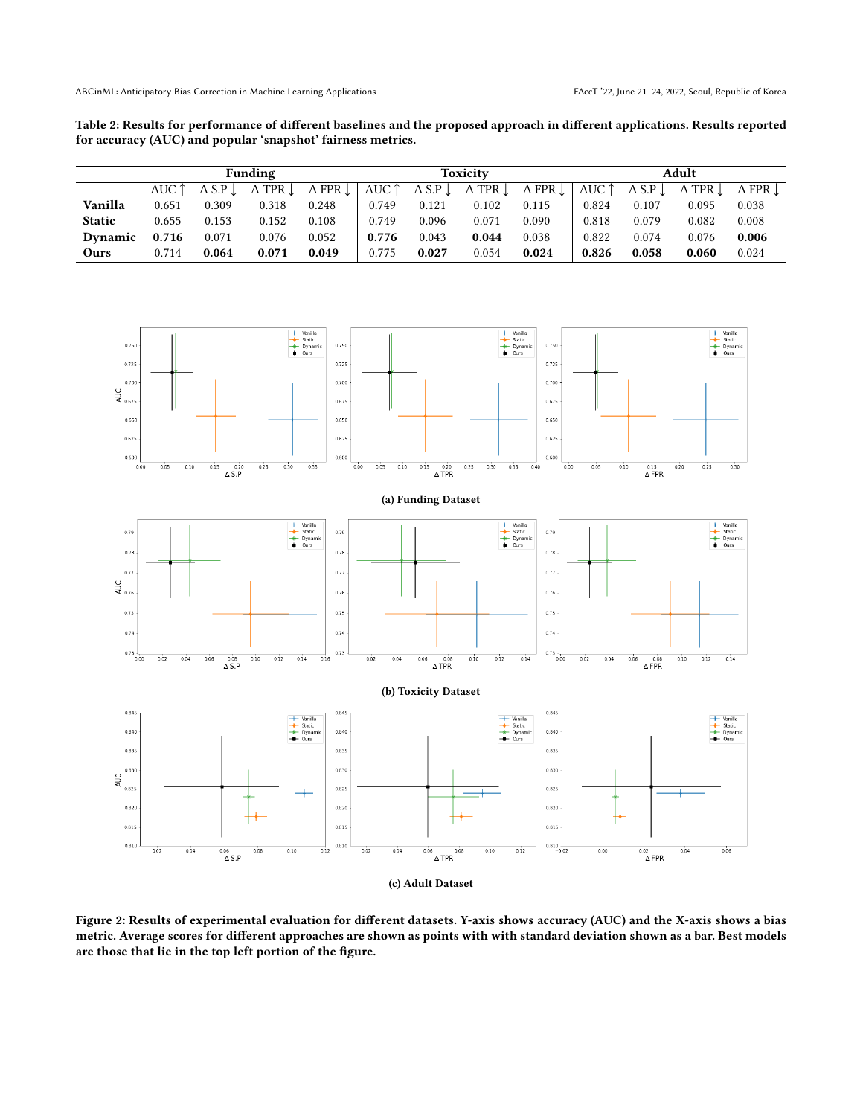Table 2: Results for performance of different baselines and the proposed approach in different applications. Results reported for accuracy (AUC) and popular 'snapshot' fairness metrics.

|                | <b>Funding</b> |       |                                           |       | Toxicity |       |                                                                                                                                                                                                                                     |       | Adult |       |       |       |
|----------------|----------------|-------|-------------------------------------------|-------|----------|-------|-------------------------------------------------------------------------------------------------------------------------------------------------------------------------------------------------------------------------------------|-------|-------|-------|-------|-------|
|                | AUC 1          |       | $\Delta$ S.P $\perp$ $\Delta$ TPR $\perp$ |       |          |       | $\Delta$ FPR $\downarrow$ $\vert$ AUC $\uparrow$ $\Delta$ S.P $\downarrow$ $\Delta$ TPR $\downarrow$ $\Delta$ FPR $\downarrow$ $\vert$ AUC $\uparrow$ $\Delta$ S.P $\downarrow$ $\Delta$ TPR $\downarrow$ $\Delta$ FPR $\downarrow$ |       |       |       |       |       |
| Vanilla        | 0.651          | 0.309 | 0.318                                     | 0.248 | 0.749    | 0.121 | 0.102                                                                                                                                                                                                                               | 0.115 | 0.824 | 0.107 | 0.095 | 0.038 |
| <b>Static</b>  | 0.655          | 0.153 | 0.152                                     | 0.108 | 0.749    | 0.096 | 0.071                                                                                                                                                                                                                               | 0.090 | 0.818 | 0.079 | 0.082 | 0.008 |
| <b>Dynamic</b> | 0.716          | 0.071 | 0.076                                     | 0.052 | 0.776    | 0.043 | 0.044                                                                                                                                                                                                                               | 0.038 | 0.822 | 0.074 | 0.076 | 0.006 |
| Ours           | 0.714          | 0.064 | 0.071                                     | 0.049 | 0.775    | 0.027 | 0.054                                                                                                                                                                                                                               | 0.024 | 0.826 | 0.058 | 0.060 | 0.024 |

<span id="page-6-0"></span>

Figure 2: Results of experimental evaluation for different datasets. Y-axis shows accuracy (AUC) and the X-axis shows a bias metric. Average scores for different approaches are shown as points with with standard deviation shown as a bar. Best models are those that lie in the top left portion of the figure.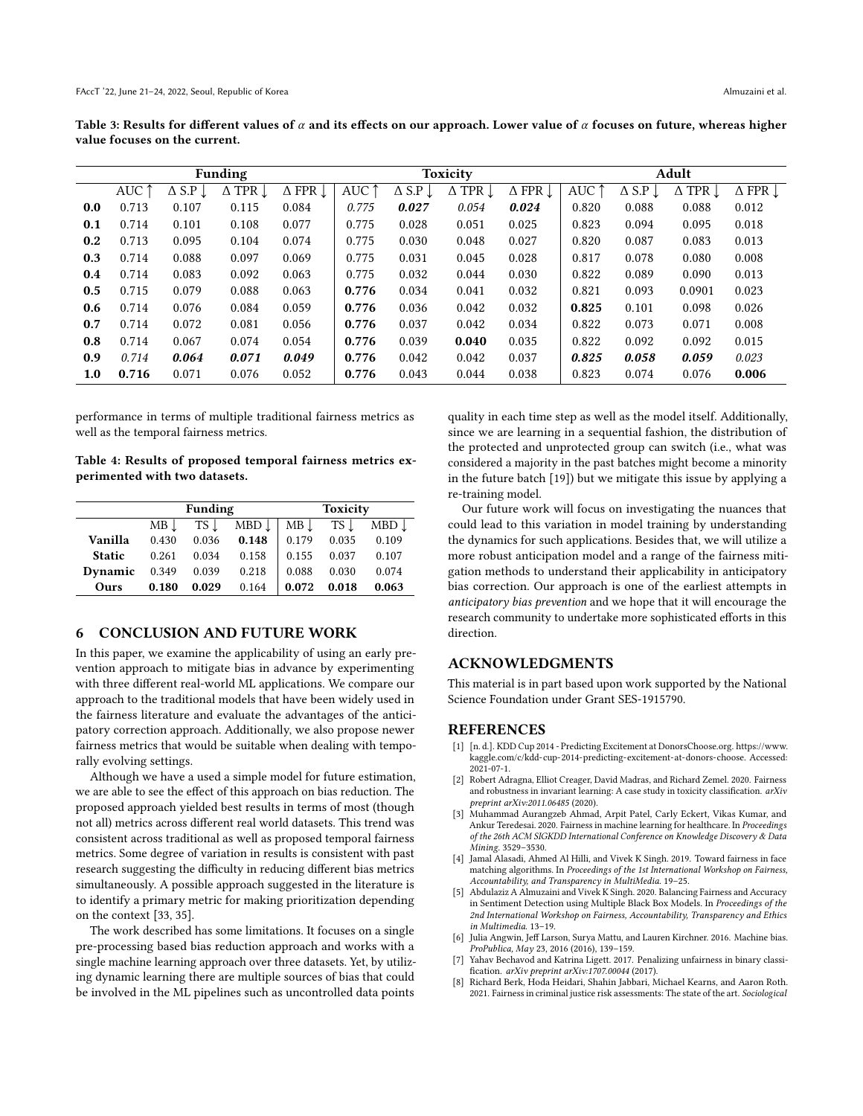Table 3: Results for different values of  $\alpha$  and its effects on our approach. Lower value of  $\alpha$  focuses on future, whereas higher value focuses on the current.

| Funding |                |                           |                                      |                           | <b>Toxicity</b> |                           |                           |                           | Adult          |                  |                           |                           |
|---------|----------------|---------------------------|--------------------------------------|---------------------------|-----------------|---------------------------|---------------------------|---------------------------|----------------|------------------|---------------------------|---------------------------|
|         | AUC $\uparrow$ | $\Delta$ S.P $\downarrow$ | $\overline{\Delta}$ TPR $\downarrow$ | $\Delta$ FPR $\downarrow$ | AUC $\uparrow$  | $\Delta$ S.P $\downarrow$ | $\Delta$ TPR $\downarrow$ | $\Delta$ FPR $\downarrow$ | AUC $\uparrow$ | $\triangle$ S.P. | $\Delta$ TPR $\downarrow$ | $\Delta$ FPR $\downarrow$ |
| 0.0     | 0.713          | 0.107                     | 0.115                                | 0.084                     | 0.775           | 0.027                     | 0.054                     | 0.024                     | 0.820          | 0.088            | 0.088                     | 0.012                     |
| 0.1     | 0.714          | 0.101                     | 0.108                                | 0.077                     | 0.775           | 0.028                     | 0.051                     | 0.025                     | 0.823          | 0.094            | 0.095                     | 0.018                     |
| 0.2     | 0.713          | 0.095                     | 0.104                                | 0.074                     | 0.775           | 0.030                     | 0.048                     | 0.027                     | 0.820          | 0.087            | 0.083                     | 0.013                     |
| 0.3     | 0.714          | 0.088                     | 0.097                                | 0.069                     | 0.775           | 0.031                     | 0.045                     | 0.028                     | 0.817          | 0.078            | 0.080                     | 0.008                     |
| 0.4     | 0.714          | 0.083                     | 0.092                                | 0.063                     | 0.775           | 0.032                     | 0.044                     | 0.030                     | 0.822          | 0.089            | 0.090                     | 0.013                     |
| 0.5     | 0.715          | 0.079                     | 0.088                                | 0.063                     | 0.776           | 0.034                     | 0.041                     | 0.032                     | 0.821          | 0.093            | 0.0901                    | 0.023                     |
| 0.6     | 0.714          | 0.076                     | 0.084                                | 0.059                     | 0.776           | 0.036                     | 0.042                     | 0.032                     | 0.825          | 0.101            | 0.098                     | 0.026                     |
| 0.7     | 0.714          | 0.072                     | 0.081                                | 0.056                     | 0.776           | 0.037                     | 0.042                     | 0.034                     | 0.822          | 0.073            | 0.071                     | 0.008                     |
| 0.8     | 0.714          | 0.067                     | 0.074                                | 0.054                     | 0.776           | 0.039                     | 0.040                     | 0.035                     | 0.822          | 0.092            | 0.092                     | 0.015                     |
| 0.9     | 0.714          | 0.064                     | 0.071                                | 0.049                     | 0.776           | 0.042                     | 0.042                     | 0.037                     | 0.825          | 0.058            | 0.059                     | 0.023                     |
| 1.0     | 0.716          | 0.071                     | 0.076                                | 0.052                     | 0.776           | 0.043                     | 0.044                     | 0.038                     | 0.823          | 0.074            | 0.076                     | 0.006                     |

performance in terms of multiple traditional fairness metrics as well as the temporal fairness metrics.

Table 4: Results of proposed temporal fairness metrics experimented with two datasets.

|                                  |       | Funding |                                                                                                   | <b>Toxicity</b> |       |       |  |
|----------------------------------|-------|---------|---------------------------------------------------------------------------------------------------|-----------------|-------|-------|--|
|                                  |       |         | $MB \downarrow$ TS $\downarrow$ MBD $\downarrow$ MB $\downarrow$ TS $\downarrow$ MBD $\downarrow$ |                 |       |       |  |
| Vanilla                          |       |         | $0.430$ $0.036$ $0.148$ 0.179 0.035 0.109                                                         |                 |       |       |  |
| <b>Static</b>                    |       |         | $0.261$ $0.034$ $0.158$ $0.155$ $0.037$ $0.107$                                                   |                 |       |       |  |
| <b>Dynamic</b> 0.349 0.039 0.218 |       |         |                                                                                                   | 0.088           | 0.030 | 0.074 |  |
| Ours                             | 0.180 |         | $0.029$ $0.164$                                                                                   | 0.072 0.018     |       | 0.063 |  |

## 6 CONCLUSION AND FUTURE WORK

In this paper, we examine the applicability of using an early prevention approach to mitigate bias in advance by experimenting with three different real-world ML applications. We compare our approach to the traditional models that have been widely used in the fairness literature and evaluate the advantages of the anticipatory correction approach. Additionally, we also propose newer fairness metrics that would be suitable when dealing with temporally evolving settings.

Although we have a used a simple model for future estimation, we are able to see the effect of this approach on bias reduction. The proposed approach yielded best results in terms of most (though not all) metrics across different real world datasets. This trend was consistent across traditional as well as proposed temporal fairness metrics. Some degree of variation in results is consistent with past research suggesting the difficulty in reducing different bias metrics simultaneously. A possible approach suggested in the literature is to identify a primary metric for making prioritization depending on the context [\[33,](#page-8-33) [35\]](#page-8-12).

The work described has some limitations. It focuses on a single pre-processing based bias reduction approach and works with a single machine learning approach over three datasets. Yet, by utilizing dynamic learning there are multiple sources of bias that could be involved in the ML pipelines such as uncontrolled data points

quality in each time step as well as the model itself. Additionally, since we are learning in a sequential fashion, the distribution of the protected and unprotected group can switch (i.e., what was considered a majority in the past batches might become a minority in the future batch [\[19\]](#page-8-43)) but we mitigate this issue by applying a re-training model.

Our future work will focus on investigating the nuances that could lead to this variation in model training by understanding the dynamics for such applications. Besides that, we will utilize a more robust anticipation model and a range of the fairness mitigation methods to understand their applicability in anticipatory bias correction. Our approach is one of the earliest attempts in anticipatory bias prevention and we hope that it will encourage the research community to undertake more sophisticated efforts in this direction.

## ACKNOWLEDGMENTS

This material is in part based upon work supported by the National Science Foundation under Grant SES-1915790.

# REFERENCES

- <span id="page-7-7"></span>[1] [n. d.]. KDD Cup 2014 - Predicting Excitement at DonorsChoose.org. [https://www.](https://www.kaggle.com/c/kdd-cup-2014-predicting-excitement-at-donors-choose) [kaggle.com/c/kdd-cup-2014-predicting-excitement-at-donors-choose.](https://www.kaggle.com/c/kdd-cup-2014-predicting-excitement-at-donors-choose) Accessed: 2021-07-1.
- <span id="page-7-5"></span>[2] Robert Adragna, Elliot Creager, David Madras, and Richard Zemel. 2020. Fairness and robustness in invariant learning: A case study in toxicity classification. arXiv preprint arXiv:2011.06485 (2020).
- <span id="page-7-3"></span>[3] Muhammad Aurangzeb Ahmad, Arpit Patel, Carly Eckert, Vikas Kumar, and Ankur Teredesai. 2020. Fairness in machine learning for healthcare. In Proceedings of the 26th ACM SIGKDD International Conference on Knowledge Discovery & Data Mining. 3529–3530.
- <span id="page-7-2"></span>[4] Jamal Alasadi, Ahmed Al Hilli, and Vivek K Singh. 2019. Toward fairness in face matching algorithms. In Proceedings of the 1st International Workshop on Fairness, Accountability, and Transparency in MultiMedia. 19–25.
- <span id="page-7-1"></span>Abdulaziz A Almuzaini and Vivek K Singh. 2020. Balancing Fairness and Accuracy in Sentiment Detection using Multiple Black Box Models. In Proceedings of the 2nd International Workshop on Fairness, Accountability, Transparency and Ethics in Multimedia. 13–19.
- <span id="page-7-0"></span>[6] Julia Angwin, Jeff Larson, Surya Mattu, and Lauren Kirchner. 2016. Machine bias. ProPublica, May 23, 2016 (2016), 139–159.
- <span id="page-7-6"></span>Yahav Bechavod and Katrina Ligett. 2017. Penalizing unfairness in binary classification. arXiv preprint arXiv:1707.00044 (2017).
- <span id="page-7-4"></span>[8] Richard Berk, Hoda Heidari, Shahin Jabbari, Michael Kearns, and Aaron Roth. 2021. Fairness in criminal justice risk assessments: The state of the art. Sociological